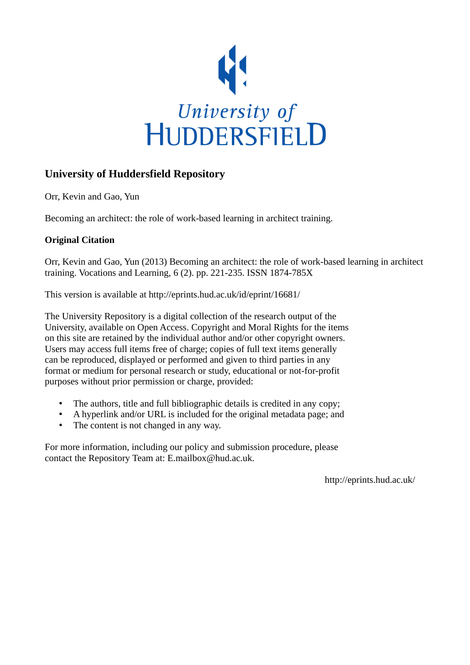

# **University of Huddersfield Repository**

Orr, Kevin and Gao, Yun

Becoming an architect: the role of work-based learning in architect training.

# **Original Citation**

Orr, Kevin and Gao, Yun (2013) Becoming an architect: the role of work-based learning in architect training. Vocations and Learning, 6 (2). pp. 221-235. ISSN 1874-785X

This version is available at http://eprints.hud.ac.uk/id/eprint/16681/

The University Repository is a digital collection of the research output of the University, available on Open Access. Copyright and Moral Rights for the items on this site are retained by the individual author and/or other copyright owners. Users may access full items free of charge; copies of full text items generally can be reproduced, displayed or performed and given to third parties in any format or medium for personal research or study, educational or not-for-profit purposes without prior permission or charge, provided:

- The authors, title and full bibliographic details is credited in any copy;
- A hyperlink and/or URL is included for the original metadata page; and
- The content is not changed in any way.

For more information, including our policy and submission procedure, please contact the Repository Team at: E.mailbox@hud.ac.uk.

http://eprints.hud.ac.uk/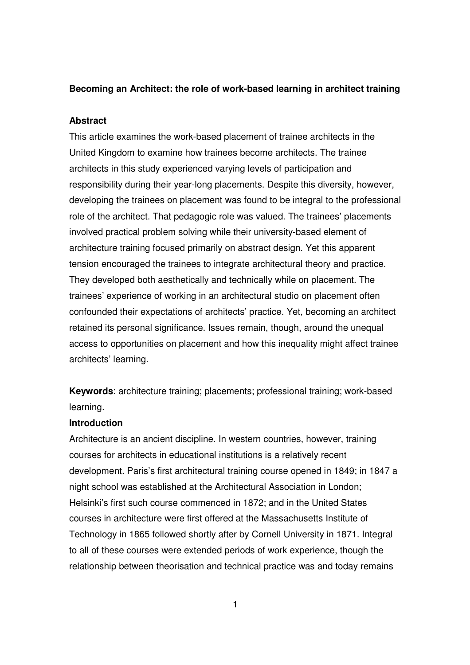# **Becoming an Architect: the role of work-based learning in architect training**

# **Abstract**

This article examines the work-based placement of trainee architects in the United Kingdom to examine how trainees become architects. The trainee architects in this study experienced varying levels of participation and responsibility during their year-long placements. Despite this diversity, however, developing the trainees on placement was found to be integral to the professional role of the architect. That pedagogic role was valued. The trainees' placements involved practical problem solving while their university-based element of architecture training focused primarily on abstract design. Yet this apparent tension encouraged the trainees to integrate architectural theory and practice. They developed both aesthetically and technically while on placement. The trainees' experience of working in an architectural studio on placement often confounded their expectations of architects' practice. Yet, becoming an architect retained its personal significance. Issues remain, though, around the unequal access to opportunities on placement and how this inequality might affect trainee architects' learning.

**Keywords**: architecture training; placements; professional training; work-based learning.

# **Introduction**

Architecture is an ancient discipline. In western countries, however, training courses for architects in educational institutions is a relatively recent development. Paris's first architectural training course opened in 1849; in 1847 a night school was established at the Architectural Association in London; Helsinki's first such course commenced in 1872; and in the United States courses in architecture were first offered at the Massachusetts Institute of Technology in 1865 followed shortly after by Cornell University in 1871. Integral to all of these courses were extended periods of work experience, though the relationship between theorisation and technical practice was and today remains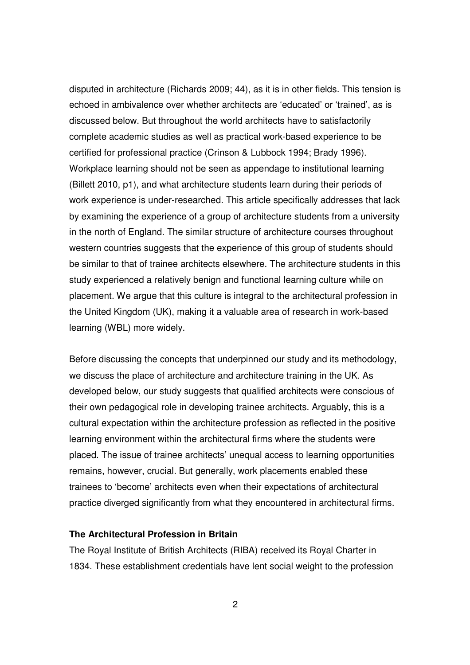disputed in architecture (Richards 2009; 44), as it is in other fields. This tension is echoed in ambivalence over whether architects are 'educated' or 'trained', as is discussed below. But throughout the world architects have to satisfactorily complete academic studies as well as practical work-based experience to be certified for professional practice (Crinson & Lubbock 1994; Brady 1996). Workplace learning should not be seen as appendage to institutional learning (Billett 2010, p1), and what architecture students learn during their periods of work experience is under-researched. This article specifically addresses that lack by examining the experience of a group of architecture students from a university in the north of England. The similar structure of architecture courses throughout western countries suggests that the experience of this group of students should be similar to that of trainee architects elsewhere. The architecture students in this study experienced a relatively benign and functional learning culture while on placement. We argue that this culture is integral to the architectural profession in the United Kingdom (UK), making it a valuable area of research in work-based learning (WBL) more widely.

Before discussing the concepts that underpinned our study and its methodology, we discuss the place of architecture and architecture training in the UK. As developed below, our study suggests that qualified architects were conscious of their own pedagogical role in developing trainee architects. Arguably, this is a cultural expectation within the architecture profession as reflected in the positive learning environment within the architectural firms where the students were placed. The issue of trainee architects' unequal access to learning opportunities remains, however, crucial. But generally, work placements enabled these trainees to 'become' architects even when their expectations of architectural practice diverged significantly from what they encountered in architectural firms.

### **The Architectural Profession in Britain**

The Royal Institute of British Architects (RIBA) received its Royal Charter in 1834. These establishment credentials have lent social weight to the profession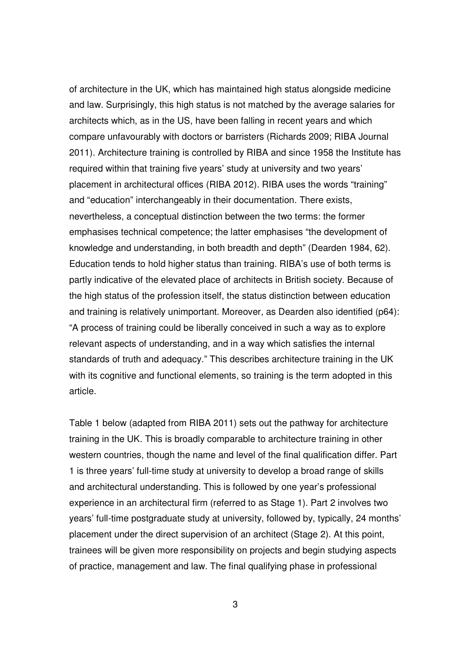of architecture in the UK, which has maintained high status alongside medicine and law. Surprisingly, this high status is not matched by the average salaries for architects which, as in the US, have been falling in recent years and which compare unfavourably with doctors or barristers (Richards 2009; RIBA Journal 2011). Architecture training is controlled by RIBA and since 1958 the Institute has required within that training five years' study at university and two years' placement in architectural offices (RIBA 2012). RIBA uses the words "training" and "education" interchangeably in their documentation. There exists, nevertheless, a conceptual distinction between the two terms: the former emphasises technical competence; the latter emphasises "the development of knowledge and understanding, in both breadth and depth" (Dearden 1984, 62). Education tends to hold higher status than training. RIBA's use of both terms is partly indicative of the elevated place of architects in British society. Because of the high status of the profession itself, the status distinction between education and training is relatively unimportant. Moreover, as Dearden also identified (p64): "A process of training could be liberally conceived in such a way as to explore relevant aspects of understanding, and in a way which satisfies the internal standards of truth and adequacy." This describes architecture training in the UK with its cognitive and functional elements, so training is the term adopted in this article.

Table 1 below (adapted from RIBA 2011) sets out the pathway for architecture training in the UK. This is broadly comparable to architecture training in other western countries, though the name and level of the final qualification differ. Part 1 is three years' full-time study at university to develop a broad range of skills and architectural understanding. This is followed by one year's professional experience in an architectural firm (referred to as Stage 1). Part 2 involves two years' full-time postgraduate study at university, followed by, typically, 24 months' placement under the direct supervision of an architect (Stage 2). At this point, trainees will be given more responsibility on projects and begin studying aspects of practice, management and law. The final qualifying phase in professional

3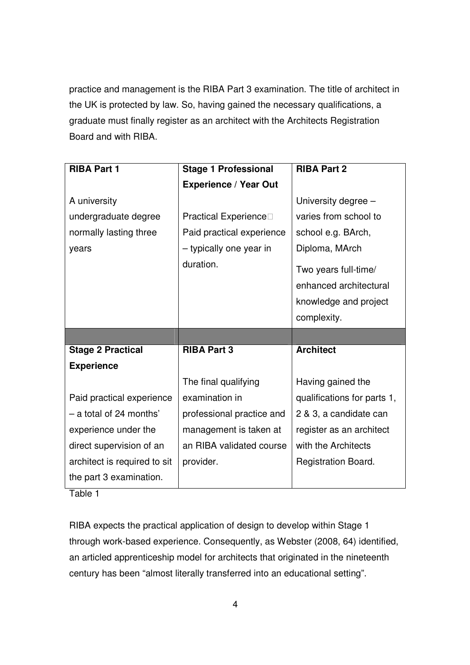practice and management is the RIBA Part 3 examination. The title of architect in the UK is protected by law. So, having gained the necessary qualifications, a graduate must finally register as an architect with the Architects Registration Board and with RIBA.

| <b>RIBA Part 1</b>           | <b>Stage 1 Professional</b>  | <b>RIBA Part 2</b>          |  |
|------------------------------|------------------------------|-----------------------------|--|
|                              | <b>Experience / Year Out</b> |                             |  |
| A university                 |                              | University degree -         |  |
| undergraduate degree         | <b>Practical Experience</b>  | varies from school to       |  |
| normally lasting three       | Paid practical experience    | school e.g. BArch,          |  |
| years                        | - typically one year in      | Diploma, MArch              |  |
|                              | duration.                    | Two years full-time/        |  |
|                              |                              | enhanced architectural      |  |
|                              |                              | knowledge and project       |  |
|                              |                              | complexity.                 |  |
|                              |                              |                             |  |
|                              |                              |                             |  |
| <b>Stage 2 Practical</b>     | <b>RIBA Part 3</b>           | <b>Architect</b>            |  |
| <b>Experience</b>            |                              |                             |  |
|                              | The final qualifying         | Having gained the           |  |
| Paid practical experience    | examination in               | qualifications for parts 1, |  |
| - a total of 24 months'      | professional practice and    | 2 & 3, a candidate can      |  |
| experience under the         | management is taken at       | register as an architect    |  |
| direct supervision of an     | an RIBA validated course     | with the Architects         |  |
| architect is required to sit | provider.                    | Registration Board.         |  |

Table 1

RIBA expects the practical application of design to develop within Stage 1 through work-based experience. Consequently, as Webster (2008, 64) identified, an articled apprenticeship model for architects that originated in the nineteenth century has been "almost literally transferred into an educational setting".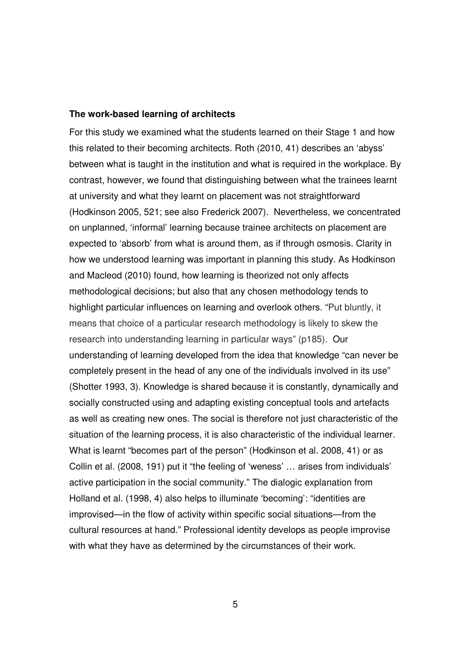#### **The work-based learning of architects**

For this study we examined what the students learned on their Stage 1 and how this related to their becoming architects. Roth (2010, 41) describes an 'abyss' between what is taught in the institution and what is required in the workplace. By contrast, however, we found that distinguishing between what the trainees learnt at university and what they learnt on placement was not straightforward (Hodkinson 2005, 521; see also Frederick 2007). Nevertheless, we concentrated on unplanned, 'informal' learning because trainee architects on placement are expected to 'absorb' from what is around them, as if through osmosis. Clarity in how we understood learning was important in planning this study. As Hodkinson and Macleod (2010) found, how learning is theorized not only affects methodological decisions; but also that any chosen methodology tends to highlight particular influences on learning and overlook others. "Put bluntly, it means that choice of a particular research methodology is likely to skew the research into understanding learning in particular ways" (p185). Our understanding of learning developed from the idea that knowledge "can never be completely present in the head of any one of the individuals involved in its use" (Shotter 1993, 3). Knowledge is shared because it is constantly, dynamically and socially constructed using and adapting existing conceptual tools and artefacts as well as creating new ones. The social is therefore not just characteristic of the situation of the learning process, it is also characteristic of the individual learner. What is learnt "becomes part of the person" (Hodkinson et al. 2008, 41) or as Collin et al. (2008, 191) put it "the feeling of 'weness' … arises from individuals' active participation in the social community." The dialogic explanation from Holland et al. (1998, 4) also helps to illuminate 'becoming': "identities are improvised—in the flow of activity within specific social situations—from the cultural resources at hand." Professional identity develops as people improvise with what they have as determined by the circumstances of their work.

5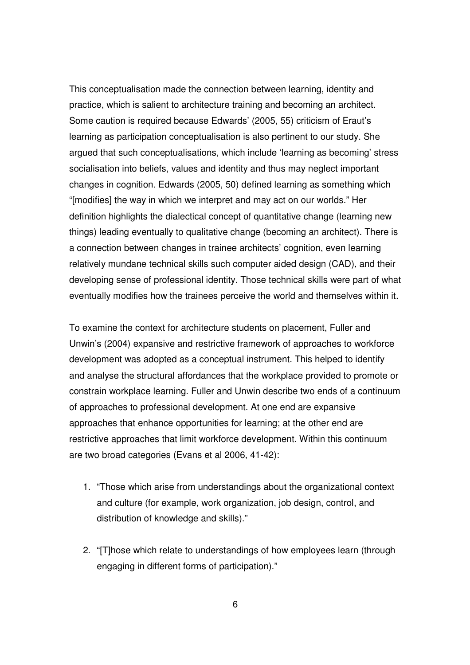This conceptualisation made the connection between learning, identity and practice, which is salient to architecture training and becoming an architect. Some caution is required because Edwards' (2005, 55) criticism of Eraut's learning as participation conceptualisation is also pertinent to our study. She argued that such conceptualisations, which include 'learning as becoming' stress socialisation into beliefs, values and identity and thus may neglect important changes in cognition. Edwards (2005, 50) defined learning as something which "[modifies] the way in which we interpret and may act on our worlds." Her definition highlights the dialectical concept of quantitative change (learning new things) leading eventually to qualitative change (becoming an architect). There is a connection between changes in trainee architects' cognition, even learning relatively mundane technical skills such computer aided design (CAD), and their developing sense of professional identity. Those technical skills were part of what eventually modifies how the trainees perceive the world and themselves within it.

To examine the context for architecture students on placement, Fuller and Unwin's (2004) expansive and restrictive framework of approaches to workforce development was adopted as a conceptual instrument. This helped to identify and analyse the structural affordances that the workplace provided to promote or constrain workplace learning. Fuller and Unwin describe two ends of a continuum of approaches to professional development. At one end are expansive approaches that enhance opportunities for learning; at the other end are restrictive approaches that limit workforce development. Within this continuum are two broad categories (Evans et al 2006, 41-42):

- 1. "Those which arise from understandings about the organizational context and culture (for example, work organization, job design, control, and distribution of knowledge and skills)."
- 2. "[T]hose which relate to understandings of how employees learn (through engaging in different forms of participation)."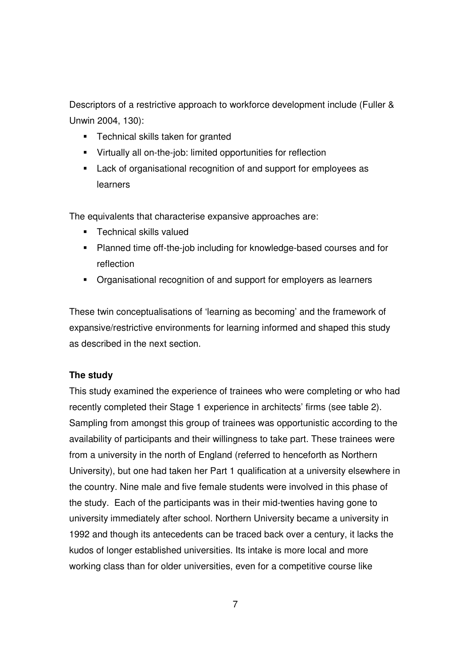Descriptors of a restrictive approach to workforce development include (Fuller & Unwin 2004, 130):

- **Technical skills taken for granted**
- Virtually all on-the-job: limited opportunities for reflection
- Lack of organisational recognition of and support for employees as learners

The equivalents that characterise expansive approaches are:

- **Technical skills valued**
- Planned time off-the-job including for knowledge-based courses and for reflection
- Organisational recognition of and support for employers as learners

These twin conceptualisations of 'learning as becoming' and the framework of expansive/restrictive environments for learning informed and shaped this study as described in the next section.

# **The study**

This study examined the experience of trainees who were completing or who had recently completed their Stage 1 experience in architects' firms (see table 2). Sampling from amongst this group of trainees was opportunistic according to the availability of participants and their willingness to take part. These trainees were from a university in the north of England (referred to henceforth as Northern University), but one had taken her Part 1 qualification at a university elsewhere in the country. Nine male and five female students were involved in this phase of the study. Each of the participants was in their mid-twenties having gone to university immediately after school. Northern University became a university in 1992 and though its antecedents can be traced back over a century, it lacks the kudos of longer established universities. Its intake is more local and more working class than for older universities, even for a competitive course like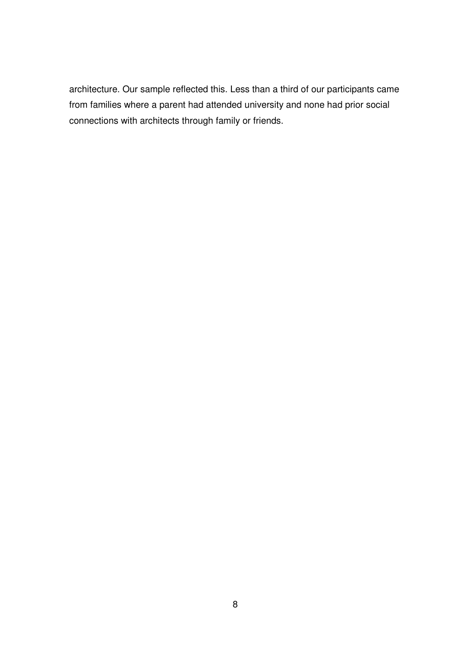architecture. Our sample reflected this. Less than a third of our participants came from families where a parent had attended university and none had prior social connections with architects through family or friends.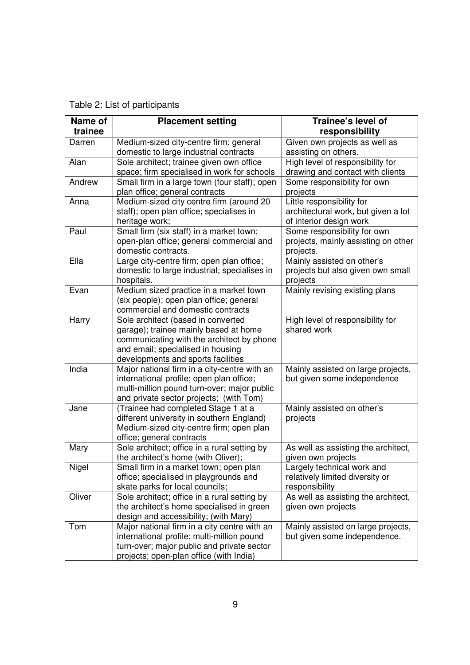|  |  |  |  | Table 2: List of participants |  |
|--|--|--|--|-------------------------------|--|
|--|--|--|--|-------------------------------|--|

| Name of | <b>Placement setting</b>                             | Trainee's level of                         |
|---------|------------------------------------------------------|--------------------------------------------|
| trainee |                                                      | responsibility                             |
| Darren  | Medium-sized city-centre firm; general               | Given own projects as well as              |
|         | domestic to large industrial contracts               | assisting on others.                       |
| Alan    | Sole architect; trainee given own office             | High level of responsibility for           |
|         | space; firm specialised in work for schools          | drawing and contact with clients           |
| Andrew  | Small firm in a large town (four staff); open        | Some responsibility for own                |
|         | plan office; general contracts                       | projects                                   |
| Anna    | Medium-sized city centre firm (around 20             | Little responsibility for                  |
|         | staff); open plan office; specialises in             | architectural work, but given a lot        |
|         | heritage work;                                       | of interior design work                    |
| Paul    | Small firm (six staff) in a market town;             | Some responsibility for own                |
|         | open-plan office; general commercial and             | projects, mainly assisting on other        |
|         | domestic contracts.                                  | projects.                                  |
| Ella    | Large city-centre firm; open plan office;            | Mainly assisted on other's                 |
|         | domestic to large industrial; specialises in         | projects but also given own small          |
| Evan    | hospitals.<br>Medium sized practice in a market town | projects<br>Mainly revising existing plans |
|         | (six people); open plan office; general              |                                            |
|         | commercial and domestic contracts                    |                                            |
| Harry   | Sole architect (based in converted                   | High level of responsibility for           |
|         | garage); trainee mainly based at home                | shared work                                |
|         | communicating with the architect by phone            |                                            |
|         | and email; specialised in housing                    |                                            |
|         | developments and sports facilities                   |                                            |
| India   | Major national firm in a city-centre with an         | Mainly assisted on large projects,         |
|         | international profile; open plan office;             | but given some independence                |
|         | multi-million pound turn-over; major public          |                                            |
|         | and private sector projects; (with Tom)              |                                            |
| Jane    | (Trainee had completed Stage 1 at a                  | Mainly assisted on other's                 |
|         | different university in southern England)            | projects                                   |
|         | Medium-sized city-centre firm; open plan             |                                            |
|         | office; general contracts                            |                                            |
| Mary    | Sole architect; office in a rural setting by         | As well as assisting the architect,        |
|         | the architect's home (with Oliver);                  | given own projects                         |
| Nigel   | Small firm in a market town; open plan               | Largely technical work and                 |
|         | office; specialised in playgrounds and               | relatively limited diversity or            |
|         | skate parks for local councils;                      | responsibility                             |
| Oliver  | Sole architect; office in a rural setting by         | As well as assisting the architect,        |
|         | the architect's home specialised in green            | given own projects                         |
|         | design and accessibility; (with Mary)                |                                            |
| Tom     | Major national firm in a city centre with an         | Mainly assisted on large projects,         |
|         | international profile; multi-million pound           | but given some independence.               |
|         | turn-over; major public and private sector           |                                            |
|         | projects; open-plan office (with India)              |                                            |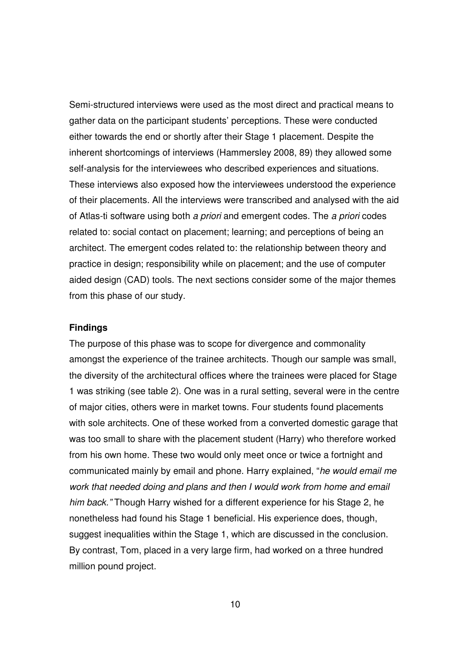Semi-structured interviews were used as the most direct and practical means to gather data on the participant students' perceptions. These were conducted either towards the end or shortly after their Stage 1 placement. Despite the inherent shortcomings of interviews (Hammersley 2008, 89) they allowed some self-analysis for the interviewees who described experiences and situations. These interviews also exposed how the interviewees understood the experience of their placements. All the interviews were transcribed and analysed with the aid of Atlas-ti software using both a priori and emergent codes. The a priori codes related to: social contact on placement; learning; and perceptions of being an architect. The emergent codes related to: the relationship between theory and practice in design; responsibility while on placement; and the use of computer aided design (CAD) tools. The next sections consider some of the major themes from this phase of our study.

#### **Findings**

The purpose of this phase was to scope for divergence and commonality amongst the experience of the trainee architects. Though our sample was small, the diversity of the architectural offices where the trainees were placed for Stage 1 was striking (see table 2). One was in a rural setting, several were in the centre of major cities, others were in market towns. Four students found placements with sole architects. One of these worked from a converted domestic garage that was too small to share with the placement student (Harry) who therefore worked from his own home. These two would only meet once or twice a fortnight and communicated mainly by email and phone. Harry explained, "he would email me work that needed doing and plans and then I would work from home and email him back." Though Harry wished for a different experience for his Stage 2, he nonetheless had found his Stage 1 beneficial. His experience does, though, suggest inequalities within the Stage 1, which are discussed in the conclusion. By contrast, Tom, placed in a very large firm, had worked on a three hundred million pound project.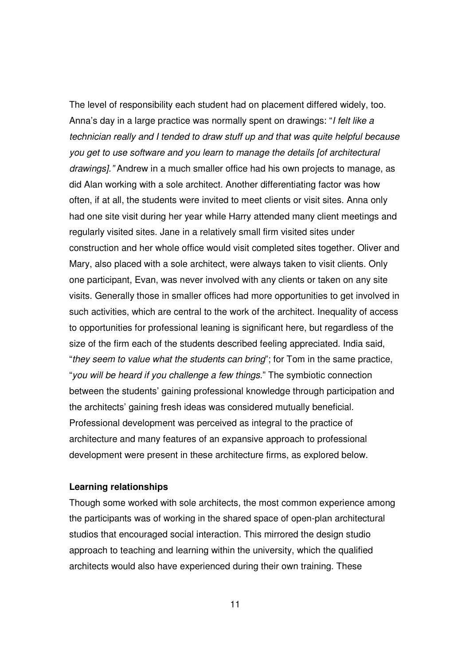The level of responsibility each student had on placement differed widely, too. Anna's day in a large practice was normally spent on drawings: "I felt like a technician really and I tended to draw stuff up and that was quite helpful because you get to use software and you learn to manage the details [of architectural drawings]. "Andrew in a much smaller office had his own projects to manage, as did Alan working with a sole architect. Another differentiating factor was how often, if at all, the students were invited to meet clients or visit sites. Anna only had one site visit during her year while Harry attended many client meetings and regularly visited sites. Jane in a relatively small firm visited sites under construction and her whole office would visit completed sites together. Oliver and Mary, also placed with a sole architect, were always taken to visit clients. Only one participant, Evan, was never involved with any clients or taken on any site visits. Generally those in smaller offices had more opportunities to get involved in such activities, which are central to the work of the architect. Inequality of access to opportunities for professional leaning is significant here, but regardless of the size of the firm each of the students described feeling appreciated. India said, "they seem to value what the students can bring"; for Tom in the same practice, "you will be heard if you challenge a few things." The symbiotic connection between the students' gaining professional knowledge through participation and the architects' gaining fresh ideas was considered mutually beneficial. Professional development was perceived as integral to the practice of architecture and many features of an expansive approach to professional development were present in these architecture firms, as explored below.

#### **Learning relationships**

Though some worked with sole architects, the most common experience among the participants was of working in the shared space of open-plan architectural studios that encouraged social interaction. This mirrored the design studio approach to teaching and learning within the university, which the qualified architects would also have experienced during their own training. These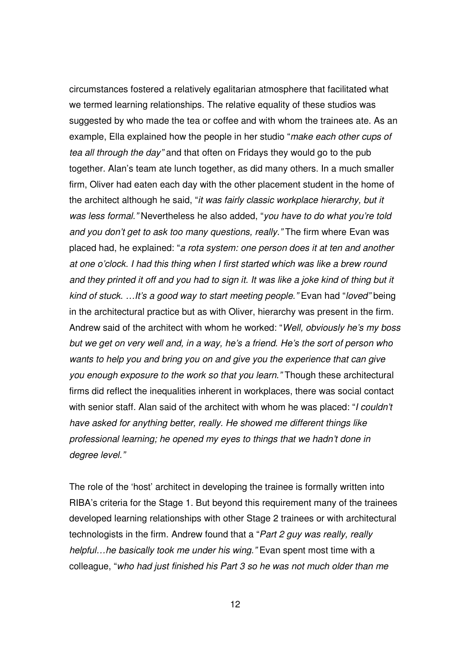circumstances fostered a relatively egalitarian atmosphere that facilitated what we termed learning relationships. The relative equality of these studios was suggested by who made the tea or coffee and with whom the trainees ate. As an example, Ella explained how the people in her studio "make each other cups of tea all through the day" and that often on Fridays they would go to the pub together. Alan's team ate lunch together, as did many others. In a much smaller firm, Oliver had eaten each day with the other placement student in the home of the architect although he said, "it was fairly classic workplace hierarchy, but it was less formal." Nevertheless he also added, "you have to do what you're told and you don't get to ask too many questions, really." The firm where Evan was placed had, he explained: "a rota system: one person does it at ten and another at one o'clock. I had this thing when I first started which was like a brew round and they printed it off and you had to sign it. It was like a joke kind of thing but it kind of stuck. …It's a good way to start meeting people." Evan had "loved" being in the architectural practice but as with Oliver, hierarchy was present in the firm. Andrew said of the architect with whom he worked: "Well, obviously he's my boss but we get on very well and, in a way, he's a friend. He's the sort of person who wants to help you and bring you on and give you the experience that can give you enough exposure to the work so that you learn." Though these architectural firms did reflect the inequalities inherent in workplaces, there was social contact with senior staff. Alan said of the architect with whom he was placed: "*I couldn't* have asked for anything better, really. He showed me different things like professional learning; he opened my eyes to things that we hadn't done in degree level."

The role of the 'host' architect in developing the trainee is formally written into RIBA's criteria for the Stage 1. But beyond this requirement many of the trainees developed learning relationships with other Stage 2 trainees or with architectural technologists in the firm. Andrew found that a "Part 2 guy was really, really helpful...he basically took me under his wing." Evan spent most time with a colleague, "who had just finished his Part 3 so he was not much older than me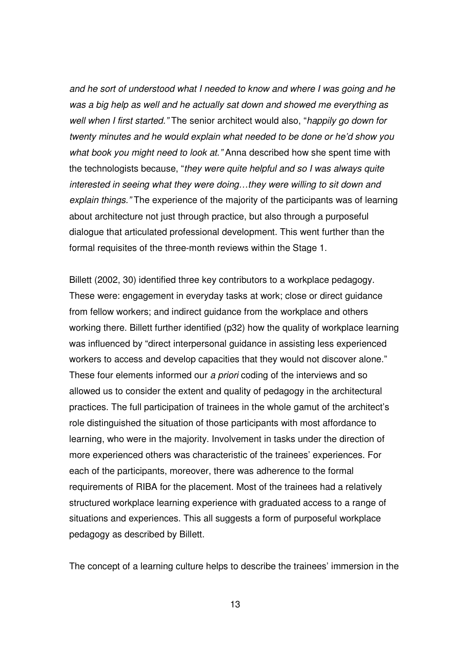and he sort of understood what I needed to know and where I was going and he was a big help as well and he actually sat down and showed me everything as well when I first started." The senior architect would also, "happily go down for twenty minutes and he would explain what needed to be done or he'd show you what book you might need to look at." Anna described how she spent time with the technologists because, "they were quite helpful and so I was always quite interested in seeing what they were doing…they were willing to sit down and explain things." The experience of the majority of the participants was of learning about architecture not just through practice, but also through a purposeful dialogue that articulated professional development. This went further than the formal requisites of the three-month reviews within the Stage 1.

Billett (2002, 30) identified three key contributors to a workplace pedagogy. These were: engagement in everyday tasks at work; close or direct guidance from fellow workers; and indirect guidance from the workplace and others working there. Billett further identified (p32) how the quality of workplace learning was influenced by "direct interpersonal guidance in assisting less experienced workers to access and develop capacities that they would not discover alone." These four elements informed our a priori coding of the interviews and so allowed us to consider the extent and quality of pedagogy in the architectural practices. The full participation of trainees in the whole gamut of the architect's role distinguished the situation of those participants with most affordance to learning, who were in the majority. Involvement in tasks under the direction of more experienced others was characteristic of the trainees' experiences. For each of the participants, moreover, there was adherence to the formal requirements of RIBA for the placement. Most of the trainees had a relatively structured workplace learning experience with graduated access to a range of situations and experiences. This all suggests a form of purposeful workplace pedagogy as described by Billett.

The concept of a learning culture helps to describe the trainees' immersion in the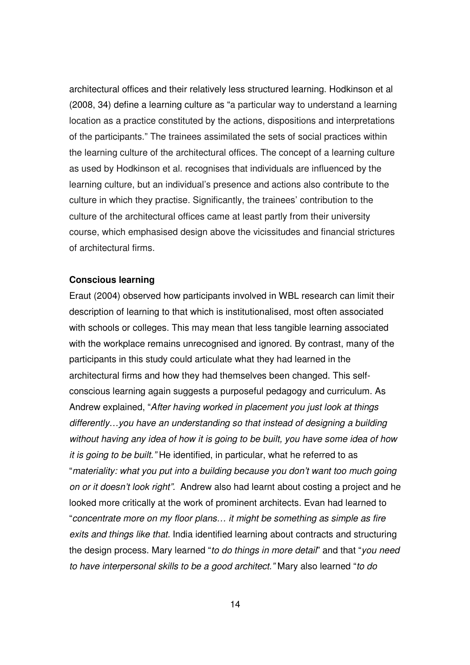architectural offices and their relatively less structured learning. Hodkinson et al (2008, 34) define a learning culture as "a particular way to understand a learning location as a practice constituted by the actions, dispositions and interpretations of the participants." The trainees assimilated the sets of social practices within the learning culture of the architectural offices. The concept of a learning culture as used by Hodkinson et al. recognises that individuals are influenced by the learning culture, but an individual's presence and actions also contribute to the culture in which they practise. Significantly, the trainees' contribution to the culture of the architectural offices came at least partly from their university course, which emphasised design above the vicissitudes and financial strictures of architectural firms.

### **Conscious learning**

Eraut (2004) observed how participants involved in WBL research can limit their description of learning to that which is institutionalised, most often associated with schools or colleges. This may mean that less tangible learning associated with the workplace remains unrecognised and ignored. By contrast, many of the participants in this study could articulate what they had learned in the architectural firms and how they had themselves been changed. This selfconscious learning again suggests a purposeful pedagogy and curriculum. As Andrew explained, "After having worked in placement you just look at things differently…you have an understanding so that instead of designing a building without having any idea of how it is going to be built, you have some idea of how it is going to be built." He identified, in particular, what he referred to as "materiality: what you put into a building because you don't want too much going on or it doesn't look right". Andrew also had learnt about costing a project and he looked more critically at the work of prominent architects. Evan had learned to "concentrate more on my floor plans… it might be something as simple as fire exits and things like that. India identified learning about contracts and structuring the design process. Mary learned "to do things in more detail" and that "you need to have interpersonal skills to be a good architect." Mary also learned "to do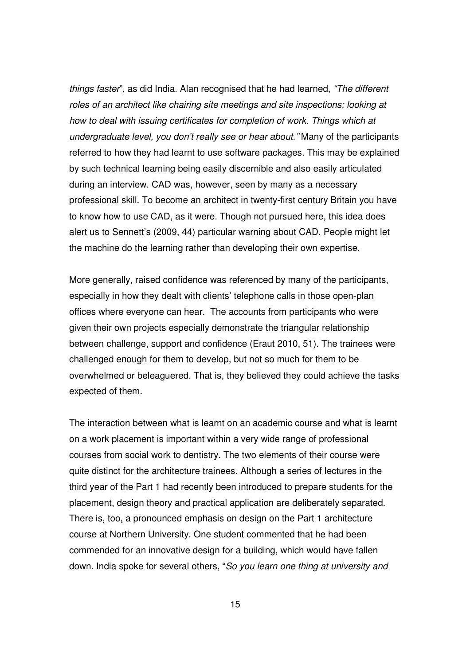things faster", as did India. Alan recognised that he had learned, "The different roles of an architect like chairing site meetings and site inspections; looking at how to deal with issuing certificates for completion of work. Things which at undergraduate level, you don't really see or hear about." Many of the participants referred to how they had learnt to use software packages. This may be explained by such technical learning being easily discernible and also easily articulated during an interview. CAD was, however, seen by many as a necessary professional skill. To become an architect in twenty-first century Britain you have to know how to use CAD, as it were. Though not pursued here, this idea does alert us to Sennett's (2009, 44) particular warning about CAD. People might let the machine do the learning rather than developing their own expertise.

More generally, raised confidence was referenced by many of the participants, especially in how they dealt with clients' telephone calls in those open-plan offices where everyone can hear. The accounts from participants who were given their own projects especially demonstrate the triangular relationship between challenge, support and confidence (Eraut 2010, 51). The trainees were challenged enough for them to develop, but not so much for them to be overwhelmed or beleaguered. That is, they believed they could achieve the tasks expected of them.

The interaction between what is learnt on an academic course and what is learnt on a work placement is important within a very wide range of professional courses from social work to dentistry. The two elements of their course were quite distinct for the architecture trainees. Although a series of lectures in the third year of the Part 1 had recently been introduced to prepare students for the placement, design theory and practical application are deliberately separated. There is, too, a pronounced emphasis on design on the Part 1 architecture course at Northern University. One student commented that he had been commended for an innovative design for a building, which would have fallen down. India spoke for several others, "So you learn one thing at university and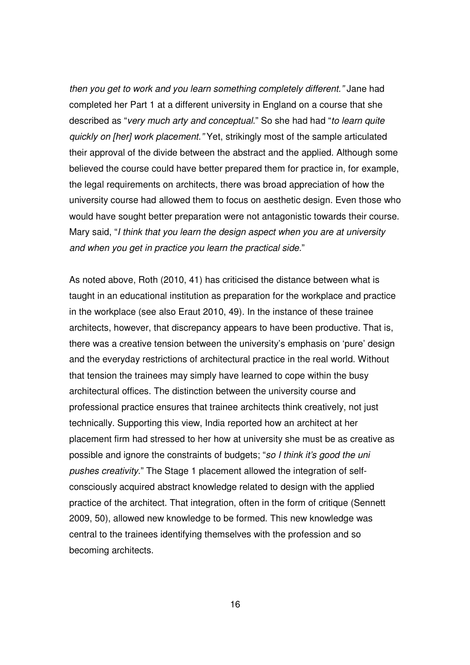then you get to work and you learn something completely different." Jane had completed her Part 1 at a different university in England on a course that she described as "very much arty and conceptual." So she had had "to learn quite quickly on [her] work placement." Yet, strikingly most of the sample articulated their approval of the divide between the abstract and the applied. Although some believed the course could have better prepared them for practice in, for example, the legal requirements on architects, there was broad appreciation of how the university course had allowed them to focus on aesthetic design. Even those who would have sought better preparation were not antagonistic towards their course. Mary said, "I think that you learn the design aspect when you are at university and when you get in practice you learn the practical side."

As noted above, Roth (2010, 41) has criticised the distance between what is taught in an educational institution as preparation for the workplace and practice in the workplace (see also Eraut 2010, 49). In the instance of these trainee architects, however, that discrepancy appears to have been productive. That is, there was a creative tension between the university's emphasis on 'pure' design and the everyday restrictions of architectural practice in the real world. Without that tension the trainees may simply have learned to cope within the busy architectural offices. The distinction between the university course and professional practice ensures that trainee architects think creatively, not just technically. Supporting this view, India reported how an architect at her placement firm had stressed to her how at university she must be as creative as possible and ignore the constraints of budgets; "so I think it's good the uni pushes creativity." The Stage 1 placement allowed the integration of selfconsciously acquired abstract knowledge related to design with the applied practice of the architect. That integration, often in the form of critique (Sennett 2009, 50), allowed new knowledge to be formed. This new knowledge was central to the trainees identifying themselves with the profession and so becoming architects.

16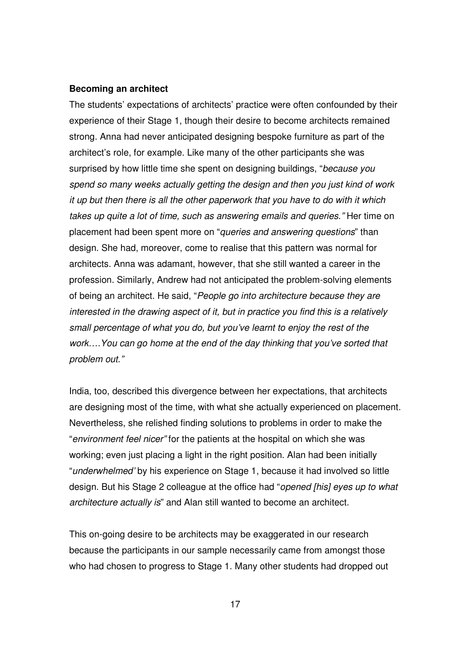#### **Becoming an architect**

The students' expectations of architects' practice were often confounded by their experience of their Stage 1, though their desire to become architects remained strong. Anna had never anticipated designing bespoke furniture as part of the architect's role, for example. Like many of the other participants she was surprised by how little time she spent on designing buildings, "because you spend so many weeks actually getting the design and then you just kind of work it up but then there is all the other paperwork that you have to do with it which takes up quite a lot of time, such as answering emails and queries." Her time on placement had been spent more on "queries and answering questions" than design. She had, moreover, come to realise that this pattern was normal for architects. Anna was adamant, however, that she still wanted a career in the profession. Similarly, Andrew had not anticipated the problem-solving elements of being an architect. He said, "People go into architecture because they are interested in the drawing aspect of it, but in practice you find this is a relatively small percentage of what you do, but you've learnt to enjoy the rest of the work….You can go home at the end of the day thinking that you've sorted that problem out."

India, too, described this divergence between her expectations, that architects are designing most of the time, with what she actually experienced on placement. Nevertheless, she relished finding solutions to problems in order to make the "environment feel nicer" for the patients at the hospital on which she was working; even just placing a light in the right position. Alan had been initially "underwhelmed' by his experience on Stage 1, because it had involved so little design. But his Stage 2 colleague at the office had "opened [his] eyes up to what architecture actually is" and Alan still wanted to become an architect.

This on-going desire to be architects may be exaggerated in our research because the participants in our sample necessarily came from amongst those who had chosen to progress to Stage 1. Many other students had dropped out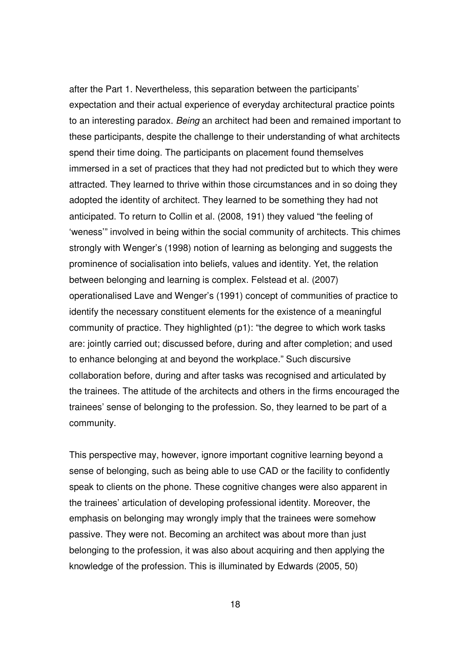after the Part 1. Nevertheless, this separation between the participants' expectation and their actual experience of everyday architectural practice points to an interesting paradox. Being an architect had been and remained important to these participants, despite the challenge to their understanding of what architects spend their time doing. The participants on placement found themselves immersed in a set of practices that they had not predicted but to which they were attracted. They learned to thrive within those circumstances and in so doing they adopted the identity of architect. They learned to be something they had not anticipated. To return to Collin et al. (2008, 191) they valued "the feeling of 'weness'" involved in being within the social community of architects. This chimes strongly with Wenger's (1998) notion of learning as belonging and suggests the prominence of socialisation into beliefs, values and identity. Yet, the relation between belonging and learning is complex. Felstead et al. (2007) operationalised Lave and Wenger's (1991) concept of communities of practice to identify the necessary constituent elements for the existence of a meaningful community of practice. They highlighted (p1): "the degree to which work tasks are: jointly carried out; discussed before, during and after completion; and used to enhance belonging at and beyond the workplace." Such discursive collaboration before, during and after tasks was recognised and articulated by the trainees. The attitude of the architects and others in the firms encouraged the trainees' sense of belonging to the profession. So, they learned to be part of a community.

This perspective may, however, ignore important cognitive learning beyond a sense of belonging, such as being able to use CAD or the facility to confidently speak to clients on the phone. These cognitive changes were also apparent in the trainees' articulation of developing professional identity. Moreover, the emphasis on belonging may wrongly imply that the trainees were somehow passive. They were not. Becoming an architect was about more than just belonging to the profession, it was also about acquiring and then applying the knowledge of the profession. This is illuminated by Edwards (2005, 50)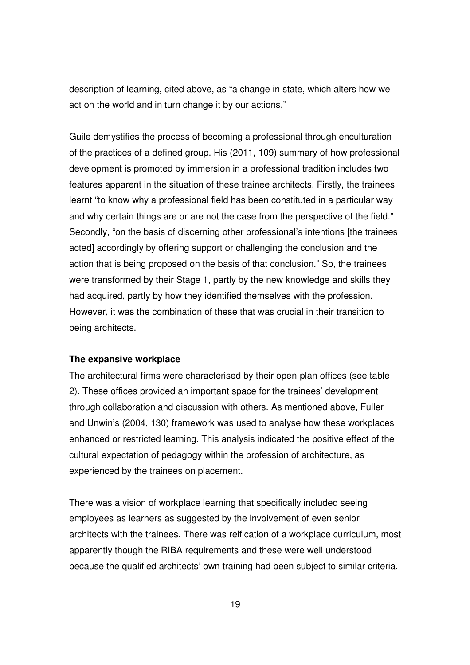description of learning, cited above, as "a change in state, which alters how we act on the world and in turn change it by our actions."

Guile demystifies the process of becoming a professional through enculturation of the practices of a defined group. His (2011, 109) summary of how professional development is promoted by immersion in a professional tradition includes two features apparent in the situation of these trainee architects. Firstly, the trainees learnt "to know why a professional field has been constituted in a particular way and why certain things are or are not the case from the perspective of the field." Secondly, "on the basis of discerning other professional's intentions [the trainees acted] accordingly by offering support or challenging the conclusion and the action that is being proposed on the basis of that conclusion." So, the trainees were transformed by their Stage 1, partly by the new knowledge and skills they had acquired, partly by how they identified themselves with the profession. However, it was the combination of these that was crucial in their transition to being architects.

### **The expansive workplace**

The architectural firms were characterised by their open-plan offices (see table 2). These offices provided an important space for the trainees' development through collaboration and discussion with others. As mentioned above, Fuller and Unwin's (2004, 130) framework was used to analyse how these workplaces enhanced or restricted learning. This analysis indicated the positive effect of the cultural expectation of pedagogy within the profession of architecture, as experienced by the trainees on placement.

There was a vision of workplace learning that specifically included seeing employees as learners as suggested by the involvement of even senior architects with the trainees. There was reification of a workplace curriculum, most apparently though the RIBA requirements and these were well understood because the qualified architects' own training had been subject to similar criteria.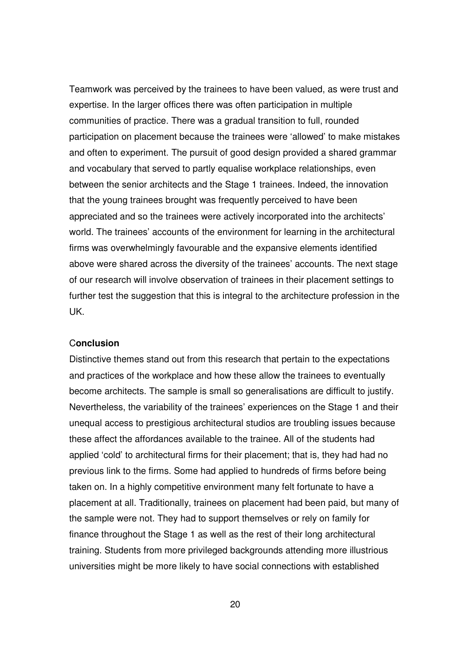Teamwork was perceived by the trainees to have been valued, as were trust and expertise. In the larger offices there was often participation in multiple communities of practice. There was a gradual transition to full, rounded participation on placement because the trainees were 'allowed' to make mistakes and often to experiment. The pursuit of good design provided a shared grammar and vocabulary that served to partly equalise workplace relationships, even between the senior architects and the Stage 1 trainees. Indeed, the innovation that the young trainees brought was frequently perceived to have been appreciated and so the trainees were actively incorporated into the architects' world. The trainees' accounts of the environment for learning in the architectural firms was overwhelmingly favourable and the expansive elements identified above were shared across the diversity of the trainees' accounts. The next stage of our research will involve observation of trainees in their placement settings to further test the suggestion that this is integral to the architecture profession in the UK.

### C**onclusion**

Distinctive themes stand out from this research that pertain to the expectations and practices of the workplace and how these allow the trainees to eventually become architects. The sample is small so generalisations are difficult to justify. Nevertheless, the variability of the trainees' experiences on the Stage 1 and their unequal access to prestigious architectural studios are troubling issues because these affect the affordances available to the trainee. All of the students had applied 'cold' to architectural firms for their placement; that is, they had had no previous link to the firms. Some had applied to hundreds of firms before being taken on. In a highly competitive environment many felt fortunate to have a placement at all. Traditionally, trainees on placement had been paid, but many of the sample were not. They had to support themselves or rely on family for finance throughout the Stage 1 as well as the rest of their long architectural training. Students from more privileged backgrounds attending more illustrious universities might be more likely to have social connections with established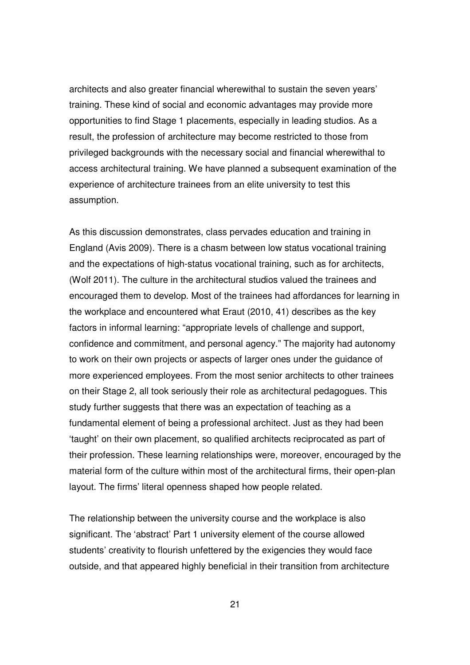architects and also greater financial wherewithal to sustain the seven years' training. These kind of social and economic advantages may provide more opportunities to find Stage 1 placements, especially in leading studios. As a result, the profession of architecture may become restricted to those from privileged backgrounds with the necessary social and financial wherewithal to access architectural training. We have planned a subsequent examination of the experience of architecture trainees from an elite university to test this assumption.

As this discussion demonstrates, class pervades education and training in England (Avis 2009). There is a chasm between low status vocational training and the expectations of high-status vocational training, such as for architects, (Wolf 2011). The culture in the architectural studios valued the trainees and encouraged them to develop. Most of the trainees had affordances for learning in the workplace and encountered what Eraut (2010, 41) describes as the key factors in informal learning: "appropriate levels of challenge and support, confidence and commitment, and personal agency." The majority had autonomy to work on their own projects or aspects of larger ones under the guidance of more experienced employees. From the most senior architects to other trainees on their Stage 2, all took seriously their role as architectural pedagogues. This study further suggests that there was an expectation of teaching as a fundamental element of being a professional architect. Just as they had been 'taught' on their own placement, so qualified architects reciprocated as part of their profession. These learning relationships were, moreover, encouraged by the material form of the culture within most of the architectural firms, their open-plan layout. The firms' literal openness shaped how people related.

The relationship between the university course and the workplace is also significant. The 'abstract' Part 1 university element of the course allowed students' creativity to flourish unfettered by the exigencies they would face outside, and that appeared highly beneficial in their transition from architecture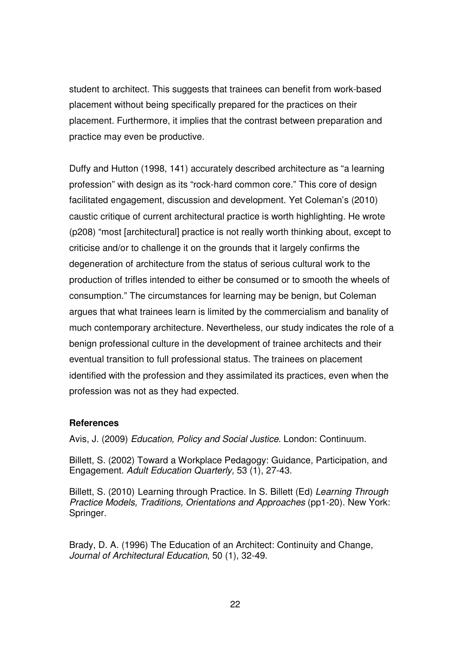student to architect. This suggests that trainees can benefit from work-based placement without being specifically prepared for the practices on their placement. Furthermore, it implies that the contrast between preparation and practice may even be productive.

Duffy and Hutton (1998, 141) accurately described architecture as "a learning profession" with design as its "rock-hard common core." This core of design facilitated engagement, discussion and development. Yet Coleman's (2010) caustic critique of current architectural practice is worth highlighting. He wrote (p208) "most [architectural] practice is not really worth thinking about, except to criticise and/or to challenge it on the grounds that it largely confirms the degeneration of architecture from the status of serious cultural work to the production of trifles intended to either be consumed or to smooth the wheels of consumption." The circumstances for learning may be benign, but Coleman argues that what trainees learn is limited by the commercialism and banality of much contemporary architecture. Nevertheless, our study indicates the role of a benign professional culture in the development of trainee architects and their eventual transition to full professional status. The trainees on placement identified with the profession and they assimilated its practices, even when the profession was not as they had expected.

# **References**

Avis, J. (2009) Education, Policy and Social Justice. London: Continuum.

Billett, S. (2002) Toward a Workplace Pedagogy: Guidance, Participation, and Engagement. Adult Education Quarterly, 53 (1), 27-43.

Billett, S. (2010) Learning through Practice. In S. Billett (Ed) Learning Through Practice Models, Traditions, Orientations and Approaches (pp1-20). New York: Springer.

Brady, D. A. (1996) The Education of an Architect: Continuity and Change, Journal of Architectural Education, 50 (1), 32-49.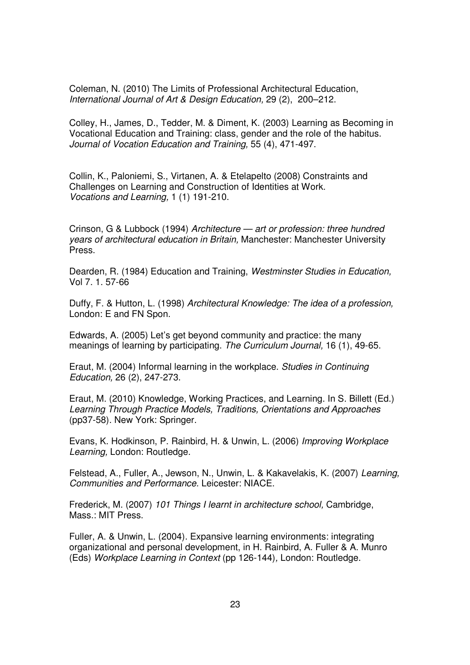Coleman, N. (2010) The Limits of Professional Architectural Education, International Journal of Art & Design Education, 29 (2), 200–212.

Colley, H., James, D., Tedder, M. & Diment, K. (2003) Learning as Becoming in Vocational Education and Training: class, gender and the role of the habitus. Journal of Vocation Education and Training, 55 (4), 471-497.

Collin, K., Paloniemi, S., Virtanen, A. & Etelapelto (2008) Constraints and Challenges on Learning and Construction of Identities at Work. Vocations and Learning, 1 (1) 191-210.

Crinson, G & Lubbock (1994) Architecture — art or profession: three hundred years of architectural education in Britain, Manchester: Manchester University Press.

Dearden, R. (1984) Education and Training, Westminster Studies in Education, Vol 7. 1. 57-66

Duffy, F. & Hutton, L. (1998) Architectural Knowledge: The idea of a profession, London: E and FN Spon.

Edwards, A. (2005) Let's get beyond community and practice: the many meanings of learning by participating. The Curriculum Journal, 16 (1), 49-65.

Eraut, M. (2004) Informal learning in the workplace. Studies in Continuing Education, 26 (2), 247-273.

Eraut, M. (2010) Knowledge, Working Practices, and Learning. In S. Billett (Ed.) Learning Through Practice Models, Traditions, Orientations and Approaches (pp37-58). New York: Springer.

Evans, K. Hodkinson, P. Rainbird, H. & Unwin, L. (2006) Improving Workplace Learning, London: Routledge.

Felstead, A., Fuller, A., Jewson, N., Unwin, L. & Kakavelakis, K. (2007) Learning, Communities and Performance. Leicester: NIACE.

Frederick, M. (2007) 101 Things I learnt in architecture school, Cambridge, Mass.: MIT Press.

Fuller, A. & Unwin, L. (2004). Expansive learning environments: integrating organizational and personal development, in H. Rainbird, A. Fuller & A. Munro (Eds) Workplace Learning in Context (pp 126-144), London: Routledge.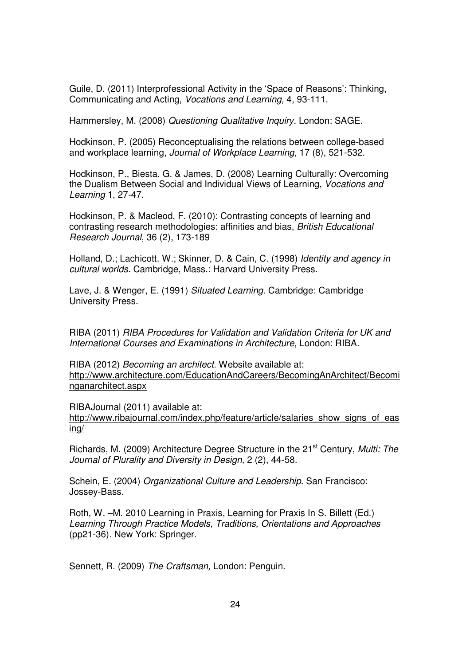Guile, D. (2011) Interprofessional Activity in the 'Space of Reasons': Thinking, Communicating and Acting, Vocations and Learning, 4, 93-111.

Hammersley, M. (2008) Questioning Qualitative Inquiry. London: SAGE.

Hodkinson, P. (2005) Reconceptualising the relations between college-based and workplace learning, Journal of Workplace Learning, 17 (8), 521-532.

Hodkinson, P., Biesta, G. & James, D. (2008) Learning Culturally: Overcoming the Dualism Between Social and Individual Views of Learning, Vocations and Learning 1, 27-47.

Hodkinson, P. & Macleod, F. (2010): Contrasting concepts of learning and contrasting research methodologies: affinities and bias, British Educational Research Journal, 36 (2), 173-189

Holland, D.; Lachicott. W.; Skinner, D. & Cain, C. (1998) Identity and agency in cultural worlds. Cambridge, Mass.: Harvard University Press.

Lave, J. & Wenger, E. (1991) Situated Learning. Cambridge: Cambridge University Press.

RIBA (2011) RIBA Procedures for Validation and Validation Criteria for UK and International Courses and Examinations in Architecture, London: RIBA.

RIBA (2012) Becoming an architect. Website available at: http://www.architecture.com/EducationAndCareers/BecomingAnArchitect/Becomi nganarchitect.aspx

RIBAJournal (2011) available at: http://www.ribajournal.com/index.php/feature/article/salaries\_show\_signs\_of\_eas ing/

Richards, M. (2009) Architecture Degree Structure in the 21<sup>st</sup> Century, *Multi: The* Journal of Plurality and Diversity in Design, 2 (2), 44-58.

Schein, E. (2004) Organizational Culture and Leadership. San Francisco: Jossey-Bass.

Roth, W. –M. 2010 Learning in Praxis, Learning for Praxis In S. Billett (Ed.) Learning Through Practice Models, Traditions, Orientations and Approaches (pp21-36). New York: Springer.

Sennett, R. (2009) The Craftsman, London: Penguin.